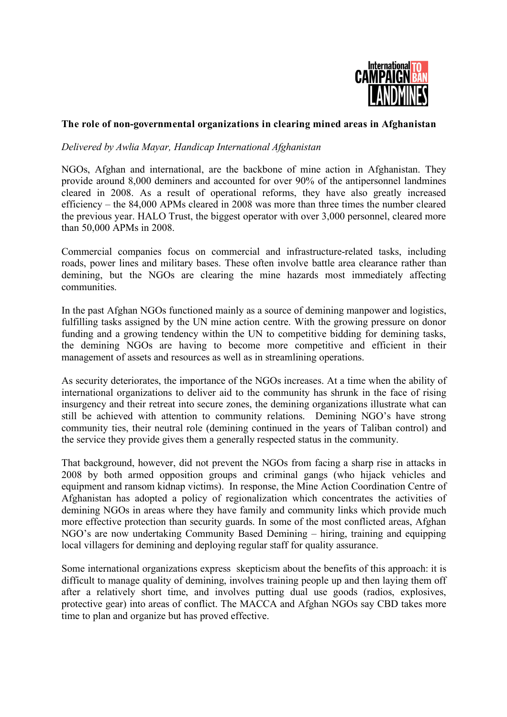

## **The role of non-governmental organizations in clearing mined areas in Afghanistan**

## *Delivered by Awlia Mayar, Handicap International Afghanistan*

NGOs, Afghan and international, are the backbone of mine action in Afghanistan. They provide around 8,000 deminers and accounted for over 90% of the antipersonnel landmines cleared in 2008. As a result of operational reforms, they have also greatly increased efficiency – the 84,000 APMs cleared in 2008 was more than three times the number cleared the previous year. HALO Trust, the biggest operator with over 3,000 personnel, cleared more than 50,000 APMs in 2008.

Commercial companies focus on commercial and infrastructure-related tasks, including roads, power lines and military bases. These often involve battle area clearance rather than demining, but the NGOs are clearing the mine hazards most immediately affecting communities.

In the past Afghan NGOs functioned mainly as a source of demining manpower and logistics, fulfilling tasks assigned by the UN mine action centre. With the growing pressure on donor funding and a growing tendency within the UN to competitive bidding for demining tasks, the demining NGOs are having to become more competitive and efficient in their management of assets and resources as well as in streamlining operations.

As security deteriorates, the importance of the NGOs increases. At a time when the ability of international organizations to deliver aid to the community has shrunk in the face of rising insurgency and their retreat into secure zones, the demining organizations illustrate what can still be achieved with attention to community relations. Demining NGO's have strong community ties, their neutral role (demining continued in the years of Taliban control) and the service they provide gives them a generally respected status in the community.

That background, however, did not prevent the NGOs from facing a sharp rise in attacks in 2008 by both armed opposition groups and criminal gangs (who hijack vehicles and equipment and ransom kidnap victims). In response, the Mine Action Coordination Centre of Afghanistan has adopted a policy of regionalization which concentrates the activities of demining NGOs in areas where they have family and community links which provide much more effective protection than security guards. In some of the most conflicted areas, Afghan NGO's are now undertaking Community Based Demining – hiring, training and equipping local villagers for demining and deploying regular staff for quality assurance.

Some international organizations express skepticism about the benefits of this approach: it is difficult to manage quality of demining, involves training people up and then laying them off after a relatively short time, and involves putting dual use goods (radios, explosives, protective gear) into areas of conflict. The MACCA and Afghan NGOs say CBD takes more time to plan and organize but has proved effective.